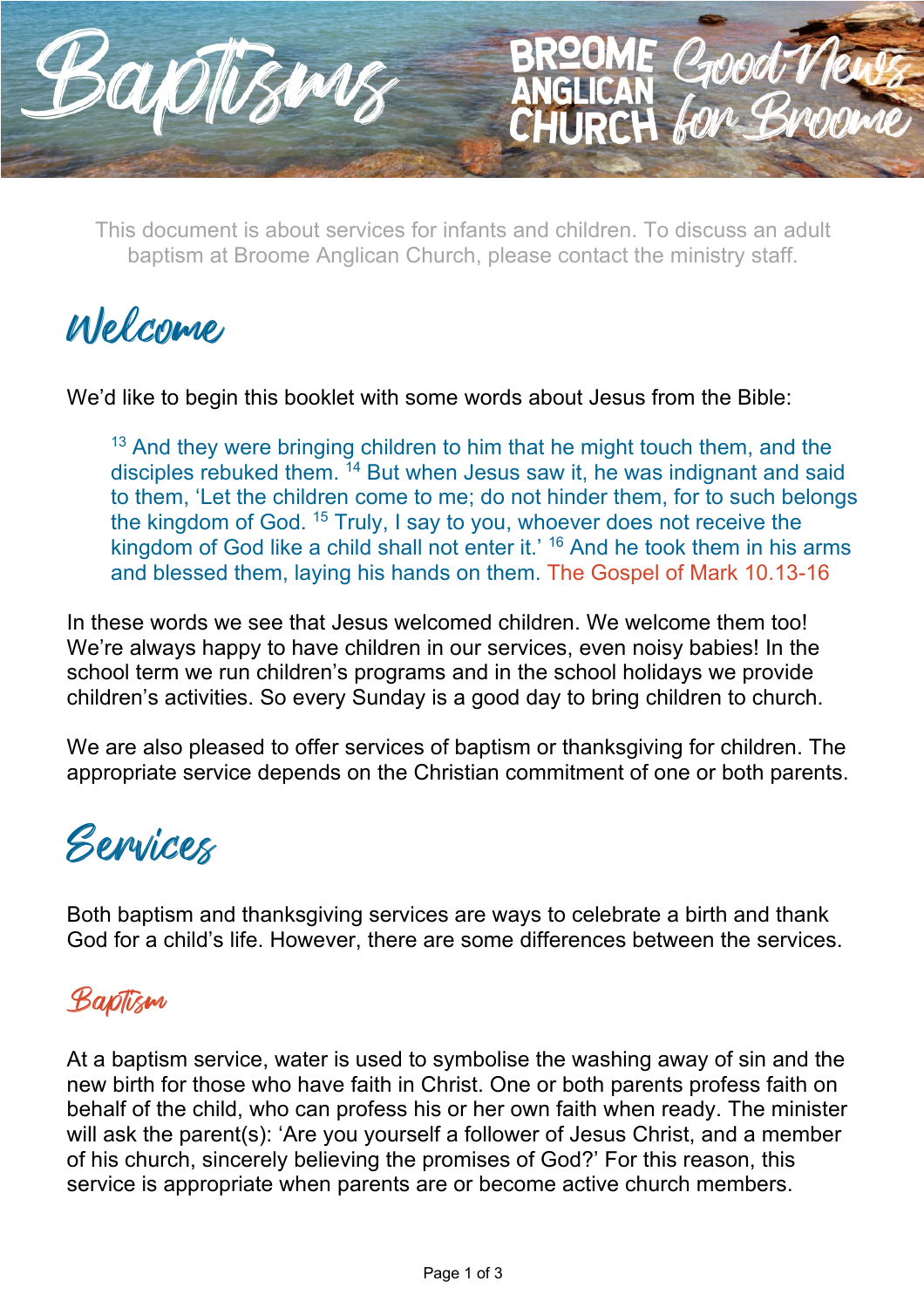

This document is about services for infants and children. To discuss an adult baptism at Broome Anglican Church, please contact the ministry staff.

CHURCH

Welcome

We'd like to begin this booklet with some words about Jesus from the Bible:

<sup>13</sup> And they were bringing children to him that he might touch them, and the disciples rebuked them.  $14$  But when Jesus saw it, he was indignant and said to them, 'Let the children come to me; do not hinder them, for to such belongs the kingdom of God. <sup>15</sup> Truly, I say to you, whoever does not receive the kingdom of God like a child shall not enter it.' 16 And he took them in his arms and blessed them, laying his hands on them. The Gospel of Mark 10.13-16

In these words we see that Jesus welcomed children. We welcome them too! We're always happy to have children in our services, even noisy babies! In the school term we run children's programs and in the school holidays we provide children's activities. So every Sunday is a good day to bring children to church.

We are also pleased to offer services of baptism or thanksgiving for children. The appropriate service depends on the Christian commitment of one or both parents.

## Services

Both baptism and thanksgiving services are ways to celebrate a birth and thank God for a child's life. However, there are some differences between the services.

### Baptism

At a baptism service, water is used to symbolise the washing away of sin and the new birth for those who have faith in Christ. One or both parents profess faith on behalf of the child, who can profess his or her own faith when ready. The minister will ask the parent(s): 'Are you yourself a follower of Jesus Christ, and a member of his church, sincerely believing the promises of God?' For this reason, this service is appropriate when parents are or become active church members.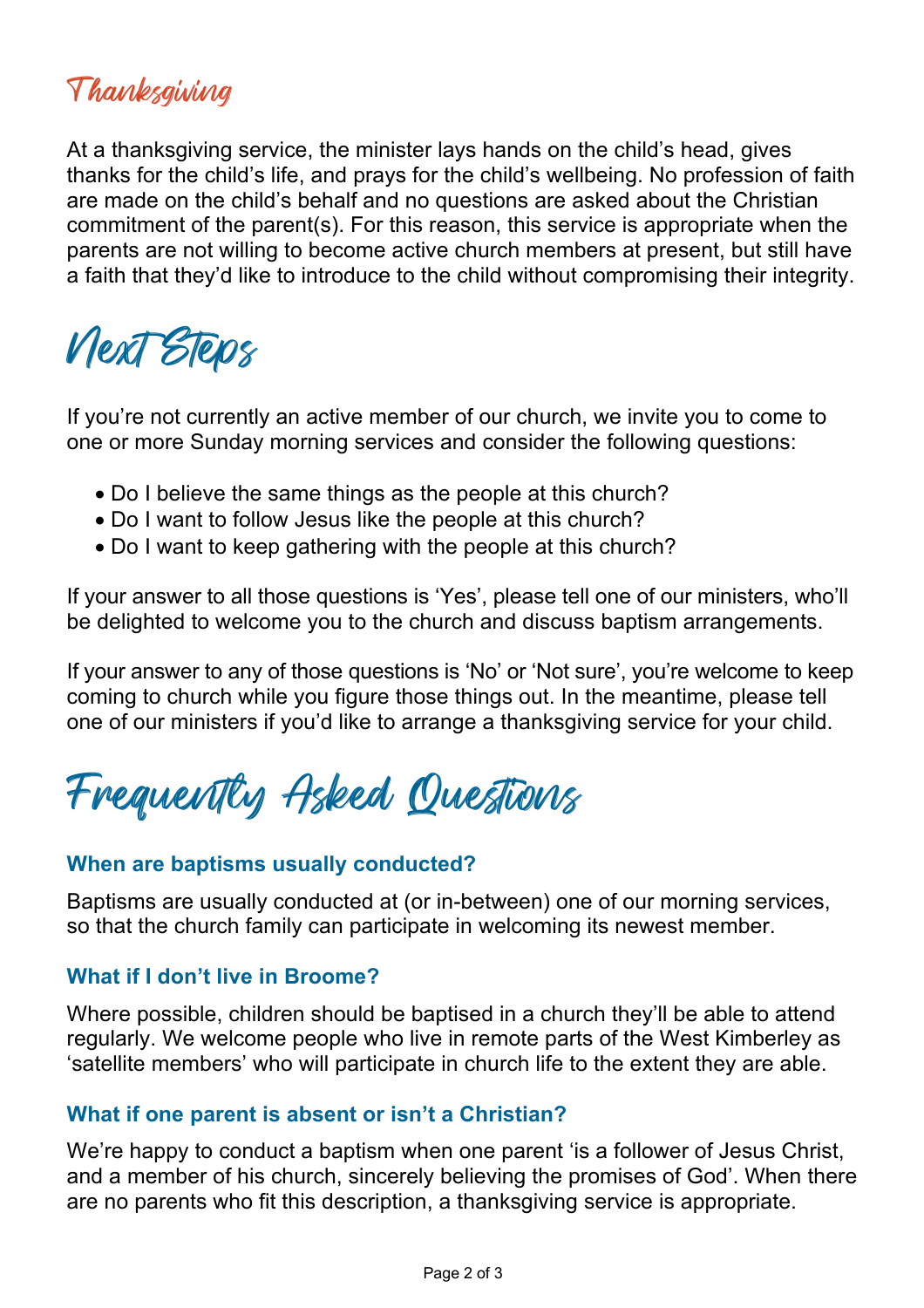## Thanksgiving

At a thanksgiving service, the minister lays hands on the child's head, gives thanks for the child's life, and prays for the child's wellbeing. No profession of faith are made on the child's behalf and no questions are asked about the Christian commitment of the parent(s). For this reason, this service is appropriate when the parents are not willing to become active church members at present, but still have a faith that they'd like to introduce to the child without compromising their integrity.

# Next Steps

If you're not currently an active member of our church, we invite you to come to one or more Sunday morning services and consider the following questions:

- Do I believe the same things as the people at this church?
- Do I want to follow Jesus like the people at this church?
- Do I want to keep gathering with the people at this church?

If your answer to all those questions is 'Yes', please tell one of our ministers, who'll be delighted to welcome you to the church and discuss baptism arrangements.

If your answer to any of those questions is 'No' or 'Not sure', you're welcome to keep coming to church while you figure those things out. In the meantime, please tell one of our ministers if you'd like to arrange a thanksgiving service for your child.

Frequently Asked Questions

#### **When are baptisms usually conducted?**

Baptisms are usually conducted at (or in-between) one of our morning services, so that the church family can participate in welcoming its newest member.

#### **What if I don't live in Broome?**

Where possible, children should be baptised in a church they'll be able to attend regularly. We welcome people who live in remote parts of the West Kimberley as 'satellite members' who will participate in church life to the extent they are able.

#### **What if one parent is absent or isn't a Christian?**

We're happy to conduct a baptism when one parent 'is a follower of Jesus Christ, and a member of his church, sincerely believing the promises of God'. When there are no parents who fit this description, a thanksgiving service is appropriate.